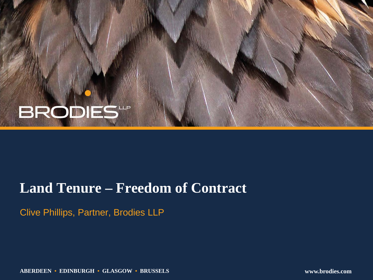# **BRODIES**

### **Land Tenure – Freedom of Contract**

Clive Phillips, Partner, Brodies LLP

**ABERDEEN • EDINBURGH • GLASGOW • BRUSSELS www.brodies.com**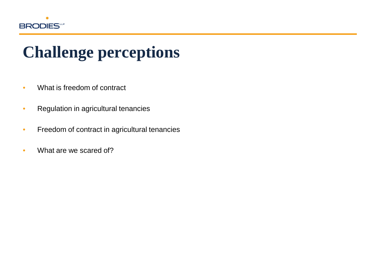

## **Challenge perceptions**

- What is freedom of contract
- Regulation in agricultural tenancies
- Freedom of contract in agricultural tenancies
- What are we scared of?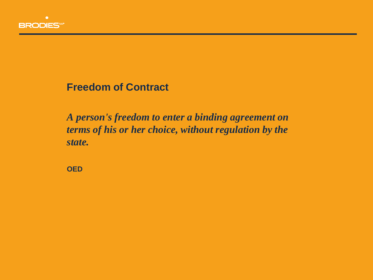

**Freedom of Contract**

*A person's freedom to enter a binding agreement on terms of his or her choice, without regulation by the state.*

**OED**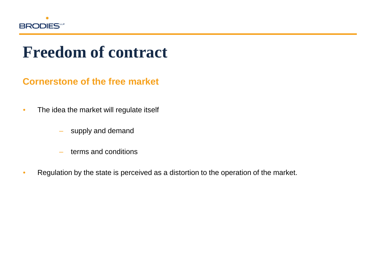

### **Freedom of contract**

#### **Cornerstone of the free market**

- The idea the market will regulate itself
	- supply and demand
	- terms and conditions
- Regulation by the state is perceived as a distortion to the operation of the market.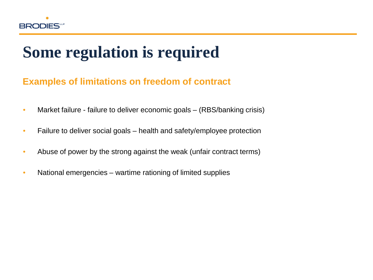

## **Some regulation is required**

#### **Examples of limitations on freedom of contract**

- Market failure failure to deliver economic goals (RBS/banking crisis)
- Failure to deliver social goals health and safety/employee protection
- Abuse of power by the strong against the weak (unfair contract terms)
- National emergencies wartime rationing of limited supplies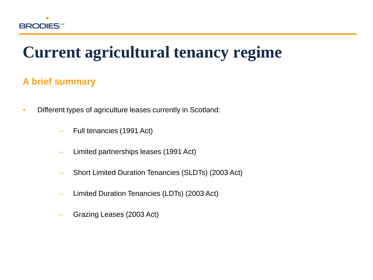

### **Current agricultural tenancy regime**

#### **A brief summary**

- Different types of agriculture leases currently in Scotland:
	- Full tenancies (1991 Act)
	- Limited partnerships leases (1991 Act)
	- Short Limited Duration Tenancies (SLDTs) (2003 Act)
	- Limited Duration Tenancies (LDTs) (2003 Act)
	- Grazing Leases (2003 Act)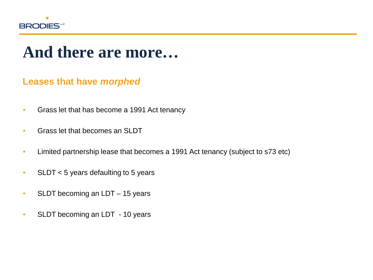

### **And there are more…**

#### **Leases that have** *morphed*

- Grass let that has become a 1991 Act tenancy
- Grass let that becomes an SLDT
- Limited partnership lease that becomes a 1991 Act tenancy (subject to s73 etc)
- SLDT < 5 years defaulting to 5 years
- SLDT becoming an LDT 15 years
- SLDT becoming an LDT 10 years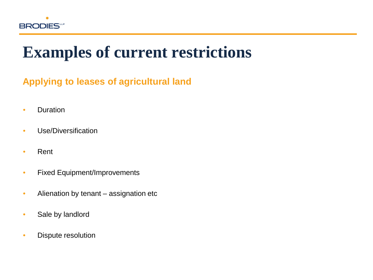

### **Examples of current restrictions**

#### **Applying to leases of agricultural land**

- Duration
- Use/Diversification
- Rent
- Fixed Equipment/Improvements
- Alienation by tenant assignation etc
- Sale by landlord
- Dispute resolution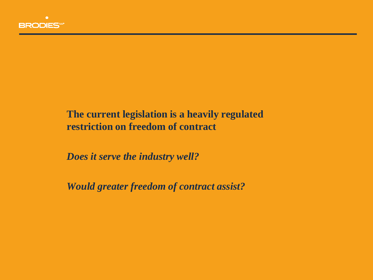

#### **The current legislation is a heavily regulated restriction on freedom of contract**

*Does it serve the industry well?*

*Would greater freedom of contract assist?*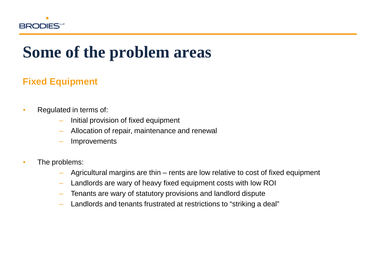

#### **Fixed Equipment**

- Regulated in terms of:
	- Initial provision of fixed equipment
	- Allocation of repair, maintenance and renewal
	- **Improvements**
- The problems:
	- Agricultural margins are thin rents are low relative to cost of fixed equipment
	- Landlords are wary of heavy fixed equipment costs with low ROI
	- Tenants are wary of statutory provisions and landlord dispute
	- Landlords and tenants frustrated at restrictions to "striking a deal"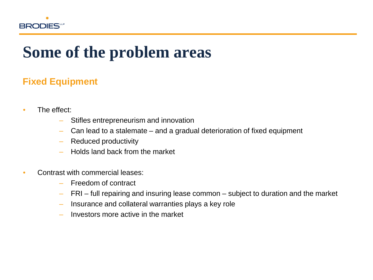

#### **Fixed Equipment**

- The effect:
	- Stifles entrepreneurism and innovation
	- Can lead to a stalemate and a gradual deterioration of fixed equipment
	- Reduced productivity
	- Holds land back from the market
- Contrast with commercial leases:
	- Freedom of contract
	- FRI full repairing and insuring lease common subject to duration and the market
	- Insurance and collateral warranties plays a key role
	- Investors more active in the market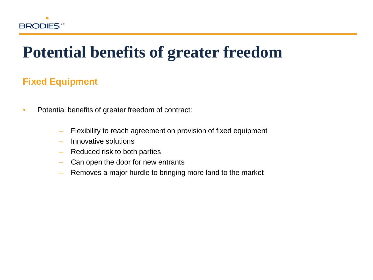

### **Potential benefits of greater freedom**

#### **Fixed Equipment**

- Potential benefits of greater freedom of contract:
	- Flexibility to reach agreement on provision of fixed equipment
	- Innovative solutions
	- Reduced risk to both parties
	- Can open the door for new entrants
	- Removes a major hurdle to bringing more land to the market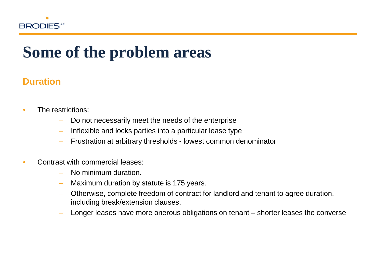

#### **Duration**

- The restrictions:
	- Do not necessarily meet the needs of the enterprise
	- Inflexible and locks parties into a particular lease type
	- Frustration at arbitrary thresholds lowest common denominator
- Contrast with commercial leases:
	- No minimum duration.
	- Maximum duration by statute is 175 years.
	- Otherwise, complete freedom of contract for landlord and tenant to agree duration, including break/extension clauses.
	- Longer leases have more onerous obligations on tenant shorter leases the converse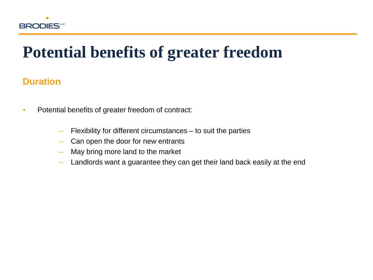

### **Potential benefits of greater freedom**

#### **Duration**

- Potential benefits of greater freedom of contract:
	- Flexibility for different circumstances to suit the parties
	- Can open the door for new entrants
	- May bring more land to the market
	- Landlords want a guarantee they can get their land back easily at the end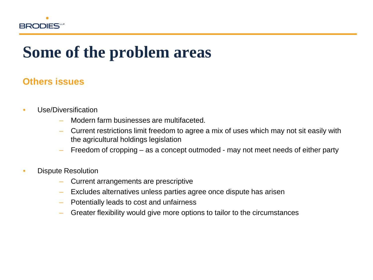

#### **Others issues**

- Use/Diversification
	- Modern farm businesses are multifaceted.
	- Current restrictions limit freedom to agree a mix of uses which may not sit easily with the agricultural holdings legislation
	- Freedom of cropping as a concept outmoded may not meet needs of either party
- Dispute Resolution
	- Current arrangements are prescriptive
	- Excludes alternatives unless parties agree once dispute has arisen
	- Potentially leads to cost and unfairness
	- Greater flexibility would give more options to tailor to the circumstances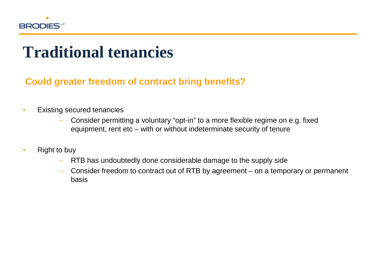

### **Traditional tenancies**

#### **Could greater freedom of contract bring benefits?**

- Existing secured tenancies
	- Consider permitting a voluntary "opt-in" to a more flexible regime on e.g. fixed equipment, rent etc – with or without indeterminate security of tenure
- Right to buy
	- RTB has undoubtedly done considerable damage to the supply side
	- Consider freedom to contract out of RTB by agreement on a temporary or permanent basis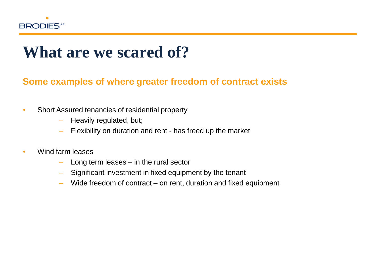

### **What are we scared of?**

#### **Some examples of where greater freedom of contract exists**

- Short Assured tenancies of residential property
	- Heavily regulated, but;
	- Flexibility on duration and rent has freed up the market
- Wind farm leases
	- Long term leases in the rural sector
	- Significant investment in fixed equipment by the tenant
	- Wide freedom of contract on rent, duration and fixed equipment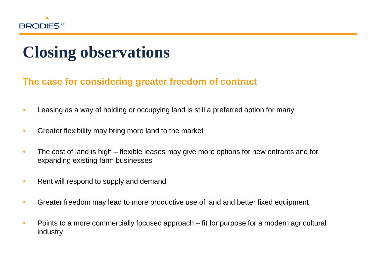

## **Closing observations**

#### **The case for considering greater freedom of contract**

- Leasing as a way of holding or occupying land is still a preferred option for many
- Greater flexibility may bring more land to the market
- The cost of land is high flexible leases may give more options for new entrants and for expanding existing farm businesses
- Rent will respond to supply and demand
- Greater freedom may lead to more productive use of land and better fixed equipment
- Points to a more commercially focused approach fit for purpose for a modern agricultural industry